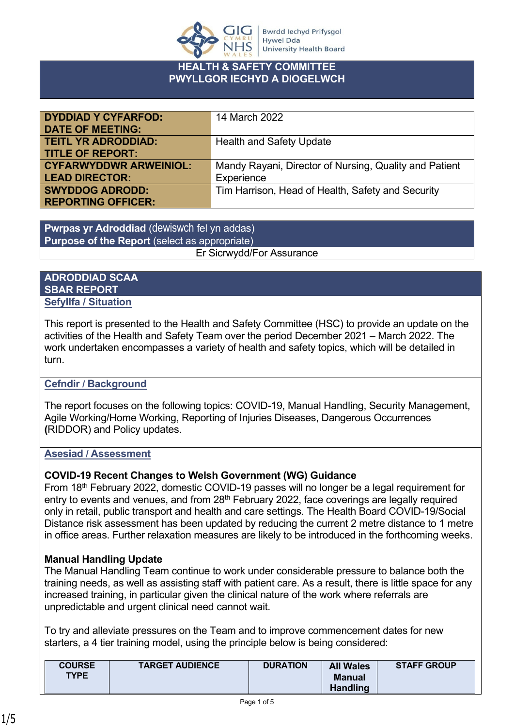

## **TH & SAFETY COMMITTEE PWYLLGOR IECHYD A DIOGELWCH**

| <b>DYDDIAD Y CYFARFOD:</b>    | 14 March 2022                                          |
|-------------------------------|--------------------------------------------------------|
| <b>DATE OF MEETING:</b>       |                                                        |
| <b>TEITL YR ADRODDIAD:</b>    | <b>Health and Safety Update</b>                        |
| <b>TITLE OF REPORT:</b>       |                                                        |
| <b>CYFARWYDDWR ARWEINIOL:</b> | Mandy Rayani, Director of Nursing, Quality and Patient |
| <b>LEAD DIRECTOR:</b>         | Experience                                             |
| <b>SWYDDOG ADRODD:</b>        | Tim Harrison, Head of Health, Safety and Security      |
| <b>REPORTING OFFICER:</b>     |                                                        |

**Pwrpas yr Adroddiad** (dewiswch fel yn addas) **Purpose of the Report** (select as appropriate) Er Sicrwydd/For Assurance

## **ADRODDIAD SCAA SBAR REPORT Sefyllfa / Situation**

This report is presented to the Health and Safety Committee (HSC) to provide an update on the activities of the Health and Safety Team over the period December 2021 – March 2022. The work undertaken encompasses a variety of health and safety topics, which will be detailed in turn.

# **Cefndir / Background**

The report focuses on the following topics: COVID-19, Manual Handling, Security Management, Agile Working/Home Working, Reporting of Injuries Diseases, Dangerous Occurrences **(**RIDDOR) and Policy updates.

### **Asesiad / Assessment**

# **COVID-19 Recent Changes to Welsh Government (WG) Guidance**

From 18th February 2022, domestic COVID-19 passes will no longer be a legal requirement for entry to events and venues, and from 28<sup>th</sup> February 2022, face coverings are legally required only in retail, public transport and health and care settings. The Health Board COVID-19/Social Distance risk assessment has been updated by reducing the current 2 metre distance to 1 metre in office areas. Further relaxation measures are likely to be introduced in the forthcoming weeks.

# **Manual Handling Update**

The Manual Handling Team continue to work under considerable pressure to balance both the training needs, as well as assisting staff with patient care. As a result, there is little space for any increased training, in particular given the clinical nature of the work where referrals are unpredictable and urgent clinical need cannot wait.

To try and alleviate pressures on the Team and to improve commencement dates for new starters, a 4 tier training model, using the principle below is being considered:

| <b>COURSE</b> | <b>TARGET AUDIENCE</b> | <b>DURATION</b> | <b>All Wales</b> | <b>STAFF GROUP</b> |
|---------------|------------------------|-----------------|------------------|--------------------|
| <b>TYPE</b>   |                        |                 | Manual           |                    |
|               |                        |                 | <b>Handling</b>  |                    |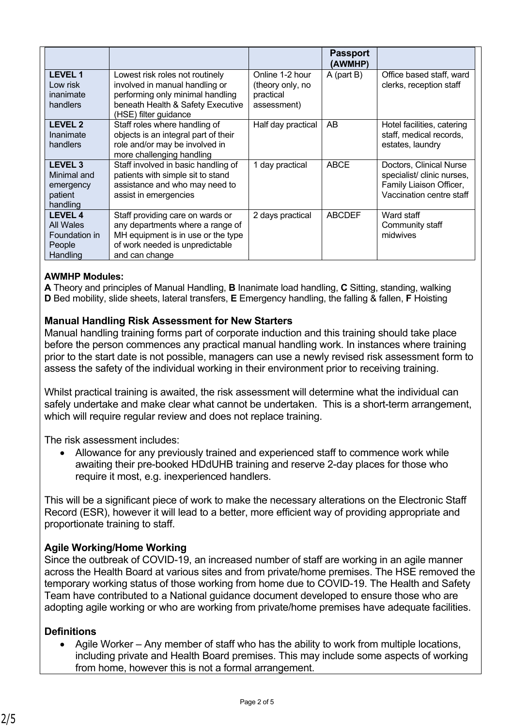| Office based staff, ward                            |
|-----------------------------------------------------|
| clerks, reception staff                             |
|                                                     |
|                                                     |
|                                                     |
| Hotel facilities, catering                          |
| staff, medical records,                             |
|                                                     |
|                                                     |
| Doctors, Clinical Nurse                             |
| specialist/ clinic nurses,                          |
| Family Liaison Officer,<br>Vaccination centre staff |
|                                                     |
|                                                     |
|                                                     |
|                                                     |
|                                                     |
|                                                     |
| Community staff                                     |

#### **AWMHP Modules:**

**A** Theory and principles of Manual Handling, **B** Inanimate load handling, **C** Sitting, standing, walking **D** Bed mobility, slide sheets, lateral transfers, **E** Emergency handling, the falling & fallen, **F** Hoisting

#### **Manual Handling Risk Assessment for New Starters**

Manual handling training forms part of corporate induction and this training should take place before the person commences any practical manual handling work. In instances where training prior to the start date is not possible, managers can use a newly revised risk assessment form to assess the safety of the individual working in their environment prior to receiving training.

Whilst practical training is awaited, the risk assessment will determine what the individual can safely undertake and make clear what cannot be undertaken. This is a short-term arrangement, which will require regular review and does not replace training.

The risk assessment includes:

 Allowance for any previously trained and experienced staff to commence work while awaiting their pre-booked HDdUHB training and reserve 2-day places for those who require it most, e.g. inexperienced handlers.

This will be a significant piece of work to make the necessary alterations on the Electronic Staff Record (ESR), however it will lead to a better, more efficient way of providing appropriate and proportionate training to staff.

### **Agile Working/Home Working**

Since the outbreak of COVID-19, an increased number of staff are working in an agile manner across the Health Board at various sites and from private/home premises. The HSE removed the temporary working status of those working from home due to COVID-19. The Health and Safety Team have contributed to a National guidance document developed to ensure those who are adopting agile working or who are working from private/home premises have adequate facilities.

### **Definitions**

 Agile Worker – Any member of staff who has the ability to work from multiple locations, including private and Health Board premises. This may include some aspects of working from home, however this is not a formal arrangement.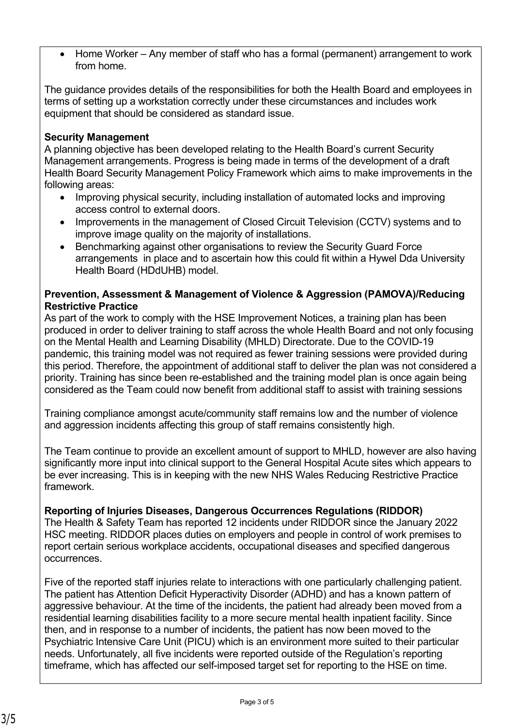Home Worker – Any member of staff who has a formal (permanent) arrangement to work from home.

The guidance provides details of the responsibilities for both the Health Board and employees in terms of setting up a workstation correctly under these circumstances and includes work equipment that should be considered as standard issue.

### **Security Management**

A planning objective has been developed relating to the Health Board's current Security Management arrangements. Progress is being made in terms of the development of a draft Health Board Security Management Policy Framework which aims to make improvements in the following areas:

- Improving physical security, including installation of automated locks and improving access control to external doors.
- Improvements in the management of Closed Circuit Television (CCTV) systems and to improve image quality on the majority of installations.
- Benchmarking against other organisations to review the Security Guard Force arrangements in place and to ascertain how this could fit within a Hywel Dda University Health Board (HDdUHB) model.

## **Prevention, Assessment & Management of Violence & Aggression (PAMOVA)/Reducing Restrictive Practice**

As part of the work to comply with the HSE Improvement Notices, a training plan has been produced in order to deliver training to staff across the whole Health Board and not only focusing on the Mental Health and Learning Disability (MHLD) Directorate. Due to the COVID-19 pandemic, this training model was not required as fewer training sessions were provided during this period. Therefore, the appointment of additional staff to deliver the plan was not considered a priority. Training has since been re-established and the training model plan is once again being considered as the Team could now benefit from additional staff to assist with training sessions

Training compliance amongst acute/community staff remains low and the number of violence and aggression incidents affecting this group of staff remains consistently high.

The Team continue to provide an excellent amount of support to MHLD, however are also having significantly more input into clinical support to the General Hospital Acute sites which appears to be ever increasing. This is in keeping with the new NHS Wales Reducing Restrictive Practice framework.

### **Reporting of Injuries Diseases, Dangerous Occurrences Regulations (RIDDOR)**

The Health & Safety Team has reported 12 incidents under RIDDOR since the January 2022 HSC meeting. RIDDOR places duties on employers and people in control of work premises to report certain serious workplace accidents, occupational diseases and specified dangerous occurrences.

Five of the reported staff injuries relate to interactions with one particularly challenging patient. The patient has Attention Deficit Hyperactivity Disorder (ADHD) and has a known pattern of aggressive behaviour. At the time of the incidents, the patient had already been moved from a residential learning disabilities facility to a more secure mental health inpatient facility. Since then, and in response to a number of incidents, the patient has now been moved to the Psychiatric Intensive Care Unit (PICU) which is an environment more suited to their particular needs. Unfortunately, all five incidents were reported outside of the Regulation's reporting timeframe, which has affected our self-imposed target set for reporting to the HSE on time.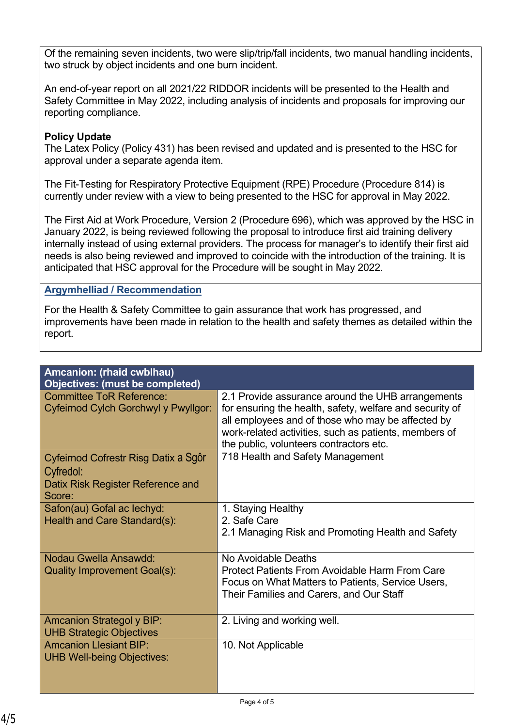Of the remaining seven incidents, two were slip/trip/fall incidents, two manual handling incidents, two struck by object incidents and one burn incident.

An end-of-year report on all 2021/22 RIDDOR incidents will be presented to the Health and Safety Committee in May 2022, including analysis of incidents and proposals for improving our reporting compliance.

# **Policy Update**

The Latex Policy (Policy 431) has been revised and updated and is presented to the HSC for approval under a separate agenda item.

The Fit-Testing for Respiratory Protective Equipment (RPE) Procedure (Procedure 814) is currently under review with a view to being presented to the HSC for approval in May 2022.

The First Aid at Work Procedure, Version 2 (Procedure 696), which was approved by the HSC in January 2022, is being reviewed following the proposal to introduce first aid training delivery internally instead of using external providers. The process for manager's to identify their first aid needs is also being reviewed and improved to coincide with the introduction of the training. It is anticipated that HSC approval for the Procedure will be sought in May 2022.

### **Argymhelliad / Recommendation**

For the Health & Safety Committee to gain assurance that work has progressed, and improvements have been made in relation to the health and safety themes as detailed within the report.

| Amcanion: (rhaid cwblhau)<br><b>Objectives: (must be completed)</b>                              |                                                                                                                                                                                                                                                                        |
|--------------------------------------------------------------------------------------------------|------------------------------------------------------------------------------------------------------------------------------------------------------------------------------------------------------------------------------------------------------------------------|
| <b>Committee ToR Reference:</b><br>Cyfeirnod Cylch Gorchwyl y Pwyllgor:                          | 2.1 Provide assurance around the UHB arrangements<br>for ensuring the health, safety, welfare and security of<br>all employees and of those who may be affected by<br>work-related activities, such as patients, members of<br>the public, volunteers contractors etc. |
| Cyfeirnod Cofrestr Risg Datix a Sgôr<br>Cyfredol:<br>Datix Risk Register Reference and<br>Score: | 718 Health and Safety Management                                                                                                                                                                                                                                       |
| Safon(au) Gofal ac lechyd:<br>Health and Care Standard(s):                                       | 1. Staying Healthy<br>2. Safe Care<br>2.1 Managing Risk and Promoting Health and Safety                                                                                                                                                                                |
| Nodau Gwella Ansawdd:<br><b>Quality Improvement Goal(s):</b>                                     | No Avoidable Deaths<br><b>Protect Patients From Avoidable Harm From Care</b><br>Focus on What Matters to Patients, Service Users,<br>Their Families and Carers, and Our Staff                                                                                          |
| <b>Amcanion Strategol y BIP:</b><br><b>UHB Strategic Objectives</b>                              | 2. Living and working well.                                                                                                                                                                                                                                            |
| <b>Amcanion Llesiant BIP:</b><br><b>UHB Well-being Objectives:</b>                               | 10. Not Applicable                                                                                                                                                                                                                                                     |